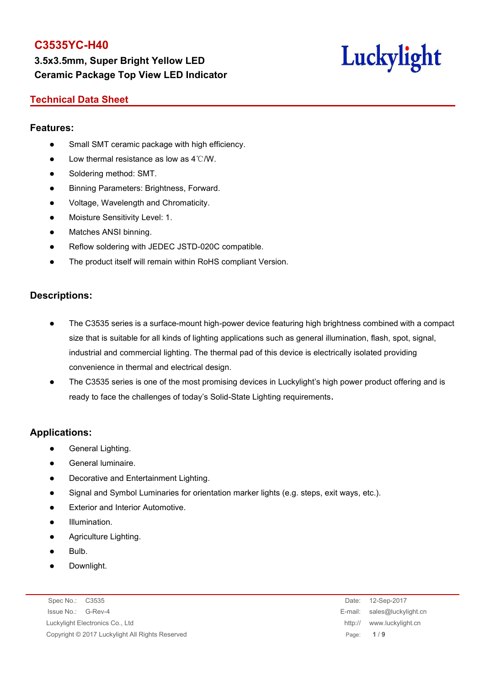**3.5x3.5mm, Super Bright Yellow LED Ceramic Package Top View LED Indicator**



#### **Technical Data Sheet**

#### **Features:**

- Small SMT ceramic package with high efficiency.
- $\bullet$  Low thermal resistance as low as 4℃/W.
- Soldering method: SMT.
- Binning Parameters: Brightness, Forward.
- Voltage, Wavelength and Chromaticity.
- **•** Moisture Sensitivity Level: 1.
- Matches ANSI binning.
- Reflow soldering with JEDEC JSTD-020C compatible.
- The product itself will remain within RoHS compliant Version.

#### **Descriptions:**

- The C3535 series is a surface-mount high-power device featuring high brightness combined with a compact size that is suitable for all kinds of lighting applications such as general illumination, flash, spot, signal, industrial and commercial lighting. The thermal pad of this device is electrically isolated providing convenience in thermal and electrical design.
- The C3535 series is one of the most promising devices in Luckylight's high power product offering and is ready to face the challenges of today's Solid-State Lighting requirements.

#### **Applications:**

- General Lighting.
- General luminaire.
- Decorative and Entertainment Lighting.
- Signal and Symbol Luminaries for orientation marker lights (e.g. steps, exit ways, etc.).
- Exterior and Interior Automotive.
- Illumination.
- Agriculture Lighting.
- Bulb.
- Downlight.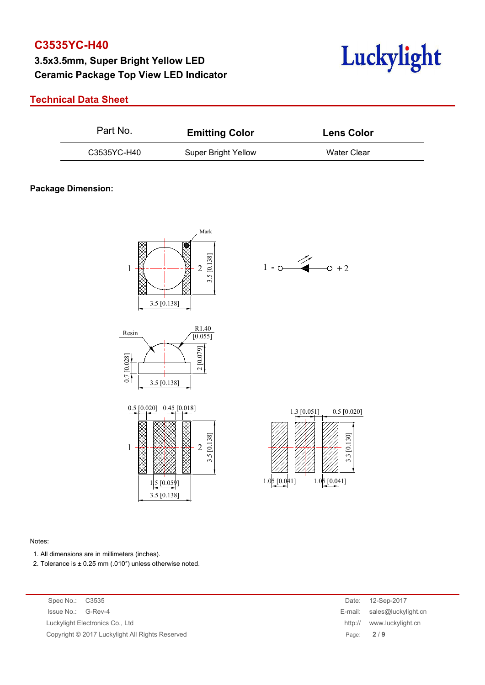# **3.5x3.5mm, Super Bright Yellow LED Ceramic Package Top View LED Indicator**



#### **Technical Data Sheet**

| C3535YC-H40<br>Water Clear<br><b>Super Bright Yellow</b> | Part No. | <b>Emitting Color</b> | <b>Lens Color</b> |  |  |
|----------------------------------------------------------|----------|-----------------------|-------------------|--|--|
|                                                          |          |                       |                   |  |  |

#### **Package Dimension:**













#### Notes:

- 1. All dimensions are in millimeters (inches).
- 2. Tolerance is  $\pm$  0.25 mm (.010") unless otherwise noted.

Spec No.: C3535 Issue No.: G-Rev-4 Luckylight Electronics Co., Ltd. Copyright © 2017 Luckylight All Rights Reserved

| Date:   | 12-Sep-2017         |  |
|---------|---------------------|--|
| E-mail: | sales@luckylight.cn |  |
| http:// | www.luckylight.cn   |  |
| Page:   | 2/9                 |  |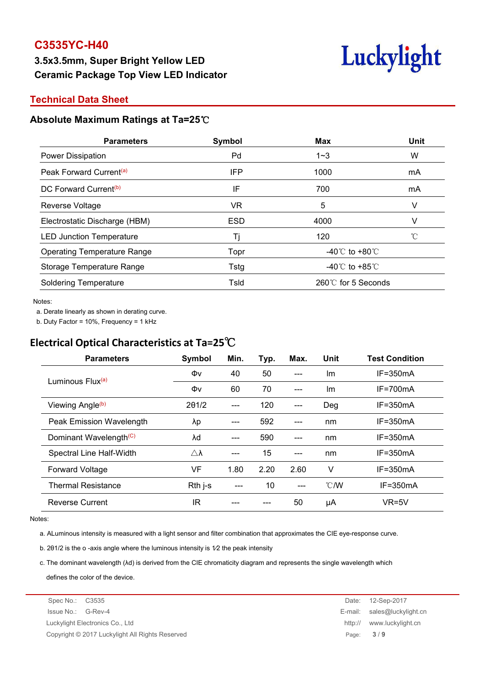# **3.5x3.5mm, Super Bright Yellow LED Ceramic Package Top View LED Indicator**



#### **Technical Data Sheet**

#### **Absolute Maximum Ratings at Ta=25**℃

| <b>Parameters</b>                   | Symbol     | Max                                | Unit |
|-------------------------------------|------------|------------------------------------|------|
| <b>Power Dissipation</b>            | Pd         | $1 - 3$                            | W    |
| Peak Forward Current <sup>(a)</sup> | IFP        | 1000                               | mA   |
| DC Forward Current <sup>(b)</sup>   | IF         | 700                                | mA   |
| Reverse Voltage                     | VR         | 5                                  | V    |
| Electrostatic Discharge (HBM)       | <b>ESD</b> | 4000                               |      |
| <b>LED Junction Temperature</b>     |            | 120                                |      |
| <b>Operating Temperature Range</b>  | Topr       | -40 $\degree$ C to +80 $\degree$ C |      |
| Storage Temperature Range           | Tstg       | -40 $\degree$ C to +85 $\degree$ C |      |
| <b>Soldering Temperature</b>        | Tsld       | 260℃ for 5 Seconds                 |      |

Notes:

a. Derate linearly as shown in derating curve.

b. Duty Factor = 10%, Frequency = 1 kHz

# **Electrical Optical Characteristics at Ta=25**℃

| <b>Parameters</b>                  | Symbol              | Min.  | Typ. | Max.  | Unit          | <b>Test Condition</b> |
|------------------------------------|---------------------|-------|------|-------|---------------|-----------------------|
|                                    | Φv                  | 40    | 50   | $---$ | Im            | $IF = 350mA$          |
| Luminous Flux <sup>(a)</sup>       | Φv                  | 60    | 70   | $---$ | Im            | $IF = 700mA$          |
| Viewing Angle <sup>(b)</sup>       | $2\theta$ 1/2       | $---$ | 120  | $---$ | Deg           | $IF = 350mA$          |
| Peak Emission Wavelength           | λp                  | ---   | 592  | ---   | nm            | $IF = 350mA$          |
| Dominant Wavelength <sup>(C)</sup> | λd                  | $---$ | 590  | $---$ | nm            | $IF = 350mA$          |
| Spectral Line Half-Width           | $\triangle \lambda$ | ---   | 15   | $---$ | nm            | $IF = 350mA$          |
| <b>Forward Voltage</b>             | VF                  | 1.80  | 2.20 | 2.60  | v             | $IF = 350mA$          |
| <b>Thermal Resistance</b>          | Rth j-s             | $---$ | 10   | $---$ | $\degree$ C/W | $IF = 350mA$          |
| <b>Reverse Current</b>             | <b>IR</b>           |       |      | 50    | μA            | $VR=5V$               |

Notes:

a. ALuminous intensity is measured with a light sensor and filter combination that approximates the CIE eye-response curve.

b. 2θ1/2 is the o -axis angle where the luminous intensity is 1⁄2 the peak intensity

c. The dominant wavelength (λd) is derived from the CIE chromaticity diagram and represents the single wavelength which defines the color of the device.

Spec No.: C3535 Date: 12-Sep-2017 Issue No.: G-Rev-4 E-mail: sales@luckylight.cn Luckylight Electronics Co., Ltd http:// www.luckylight.cn Copyright © 2017 Luckylight All Rights Reserved Page: **3** / **9**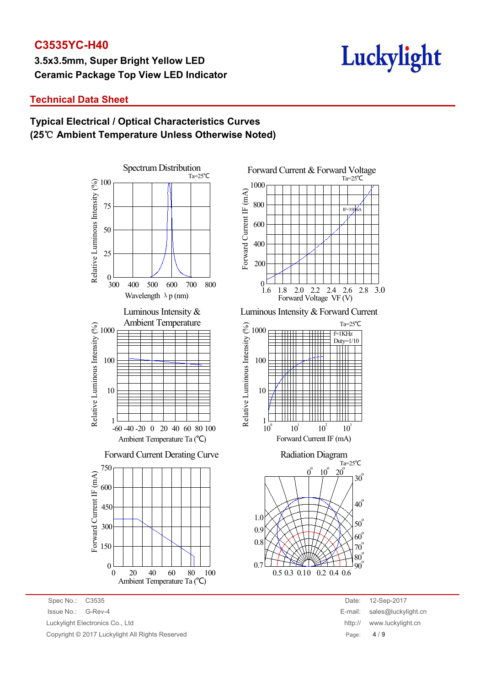**3.5x3.5mm, Super Bright Yellow LED Ceramic Package Top View LED Indicator**

# Luckylight

# **Technical Data Sheet**

### **Typical Electrical / Optical Characteristics Curves (25**℃ **Ambient Temperature Unless Otherwise Noted)**





Luminous Intensity & Forward Current



Spec No.: C3535 Date: 12-Sep-2017 Issue No.: G-Rev-4 E-mail: sales@luckylight.cn Luckylight Electronics Co., Ltd **http:// www.luckylight.cn** http:// www.luckylight.cn Copyright © 2017 Luckylight All Rights Reserved Page: **4** / **9**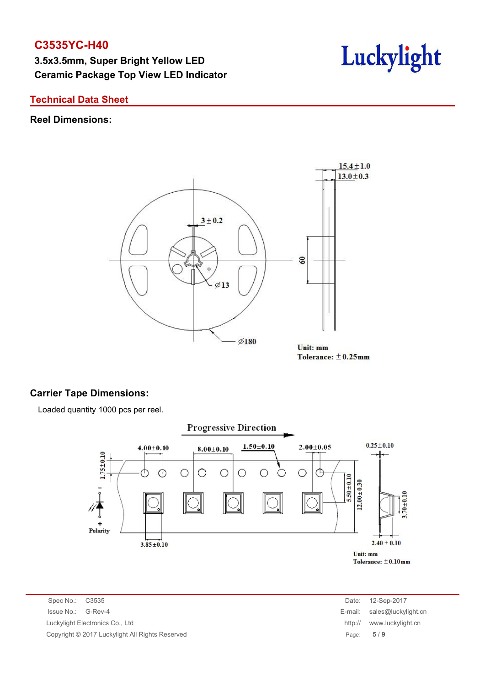**3.5x3.5mm, Super Bright Yellow LED Ceramic Package Top View LED Indicator**



#### **Technical Data Sheet**

#### **Reel Dimensions:**



Tolerance:  $\pm$ 0.25mm

#### **Carrier Tape Dimensions:**

Loaded quantity 1000 pcs per reel.



Spec No.: C3535 Date: 12-Sep-2017 Issue No.: G-Rev-4 E-mail: sales@luckylight.cn Luckylight Electronics Co., Ltd http:// www.luckylight.cn Copyright © 2017 Luckylight All Rights Reserved Page: **5** / **9**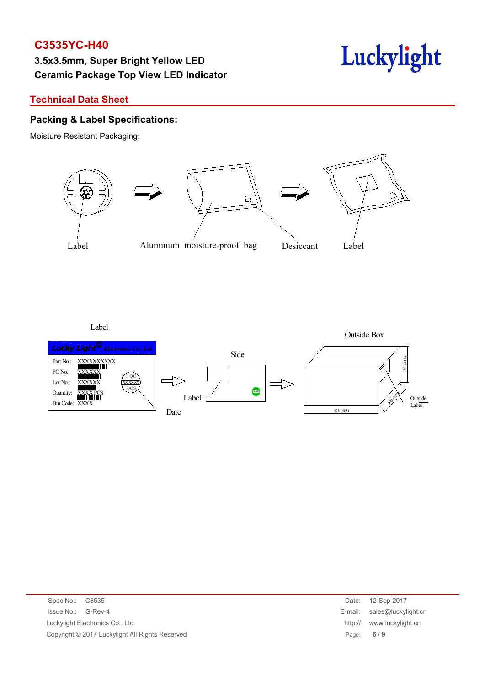# **3.5x3.5mm, Super Bright Yellow LED Ceramic Package Top View LED Indicator**



#### **Technical Data Sheet**

#### **Packing & Label Specifications:**

Moisture Resistant Packaging:



Label



| Spec No.: C3535                                 | Date:   | 12-Sep-2017                 |
|-------------------------------------------------|---------|-----------------------------|
| Issue No.: G-Rev-4                              |         | E-mail: sales@luckylight.cn |
| Luckylight Electronics Co., Ltd                 | http:// | www.luckylight.cn           |
| Copyright © 2017 Luckylight All Rights Reserved |         | Page: $6/9$                 |
|                                                 |         |                             |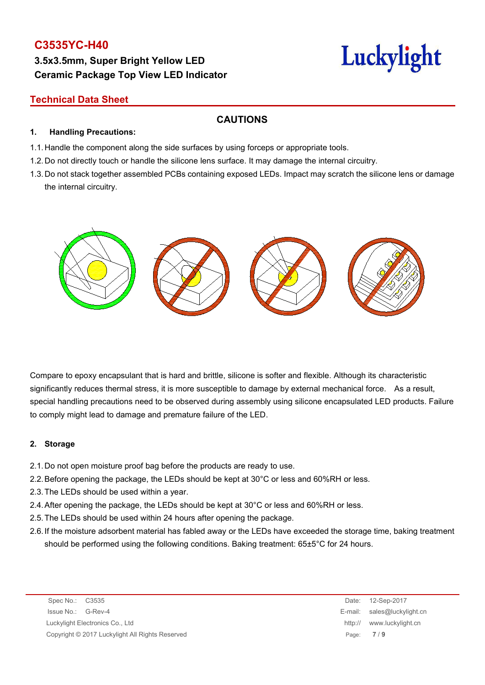# **3.5x3.5mm, Super Bright Yellow LED Ceramic Package Top View LED Indicator**

# Luckylight

# **Technical Data Sheet**

**1. Handling Precautions:**

#### **CAUTIONS**

- 1.1. Handle the component along the side surfaces by using forceps or appropriate tools.
- 1.2. Do not directly touch or handle the silicone lens surface. It may damage the internal circuitry.
- 1.3. Do not stack together assembled PCBs containing exposed LEDs. Impact may scratch the silicone lens or damage the internal circuitry.



Compare to epoxy encapsulant that is hard and brittle, silicone is softer and flexible. Although its characteristic significantly reduces thermal stress, it is more susceptible to damage by external mechanical force. As a result, special handling precautions need to be observed during assembly using silicone encapsulated LED products. Failure to comply might lead to damage and premature failure of the LED.

#### **2. Storage**

- 2.1.Do not open moisture proof bag before the products are ready to use.
- 2.2.Before opening the package, the LEDs should be kept at 30°C or less and 60%RH or less.
- 2.3.The LEDs should be used within a year.
- 2.4.After opening the package, the LEDs should be kept at 30°C or less and 60%RH or less.
- 2.5.The LEDs should be used within 24 hours after opening the package.
- 2.6.If the moisture adsorbent material has fabled away or the LEDs have exceeded the storage time, baking treatment should be performed using the following conditions. Baking treatment: 65±5°C for 24 hours.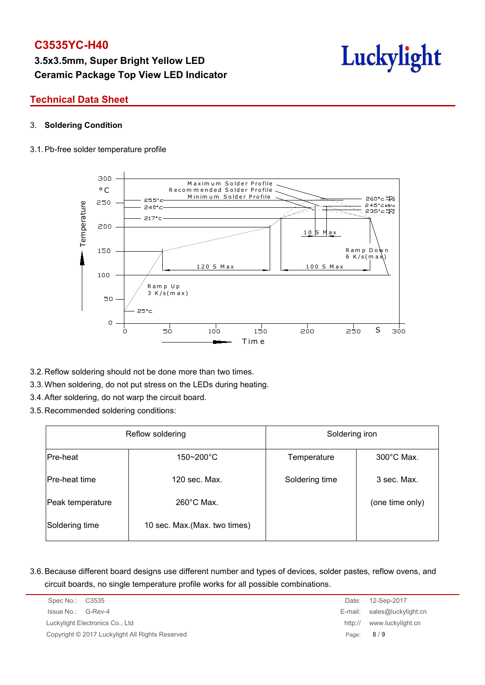# **3.5x3.5mm, Super Bright Yellow LED Ceramic Package Top View LED Indicator**



#### **Technical Data Sheet**

#### 3. **Soldering Condition**

#### 3.1.Pb-free solder temperature profile



- 3.2.Reflow soldering should not be done more than two times.
- 3.3.When soldering, do not put stress on the LEDs during heating.
- 3.4.After soldering, do not warp the circuit board.
- 3.5.Recommended soldering conditions:

| Reflow soldering     |                               | Soldering iron |                      |  |  |
|----------------------|-------------------------------|----------------|----------------------|--|--|
| Pre-heat             | $150 - 200^{\circ}C$          | Temperature    | $300^{\circ}$ C Max. |  |  |
| <b>Pre-heat time</b> | 120 sec. Max.                 | Soldering time | 3 sec. Max.          |  |  |
| Peak temperature     | $260^{\circ}$ C Max.          |                | (one time only)      |  |  |
| Soldering time       | 10 sec. Max. (Max. two times) |                |                      |  |  |

3.6.Because different board designs use different number and types of devices, solder pastes, reflow ovens, and circuit boards, no single temperature profile works for all possible combinations.

|         | 12-Sep-2017                 |
|---------|-----------------------------|
|         | E-mail: sales@luckylight.cn |
| http:// | www.luckylight.cn           |
|         | Page: $8/9$                 |
|         | Date:                       |